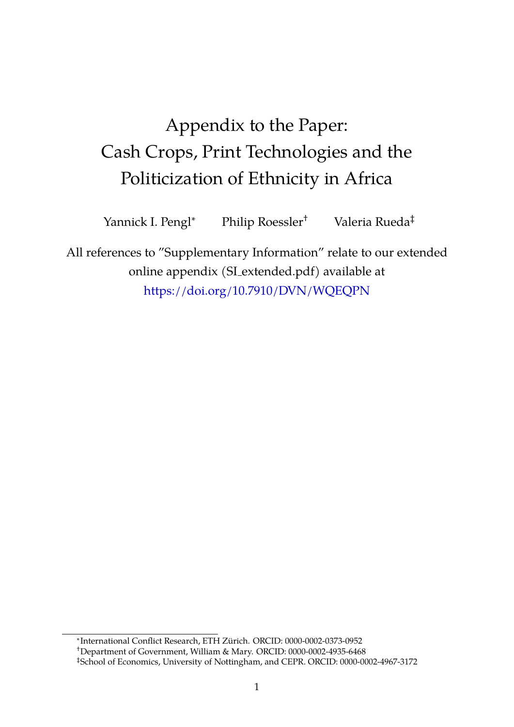# Appendix to the Paper: Cash Crops, Print Technologies and the Politicization of Ethnicity in Africa

Yannick I. Pengl<sup>∗</sup> Philip Roessler† Valeria Rueda‡

All references to "Supplementary Information" relate to our extended online appendix (SI extended.pdf) available at <https://doi.org/10.7910/DVN/WQEQPN>

∗ International Conflict Research, ETH Zurich. ORCID: 0000-0002-0373-0952 ¨ †Department of Government, William & Mary. ORCID: 0000-0002-4935-6468 ‡School of Economics, University of Nottingham, and CEPR. ORCID: 0000-0002-4967-3172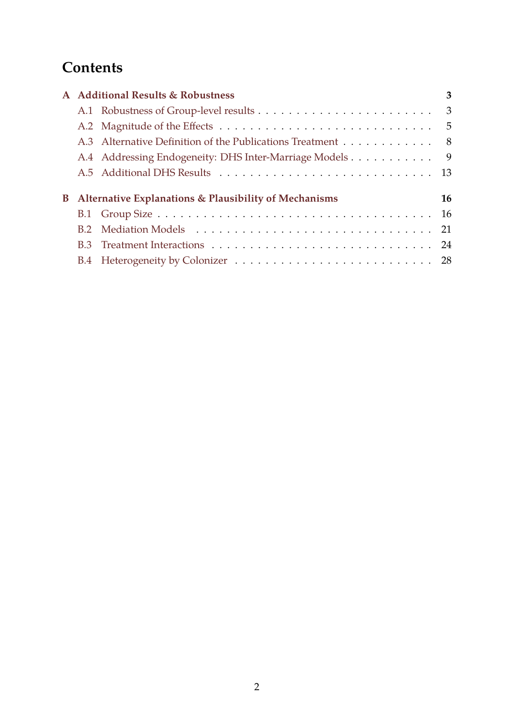## **Contents**

|  | A Additional Results & Robustness                              | 3   |
|--|----------------------------------------------------------------|-----|
|  |                                                                |     |
|  |                                                                |     |
|  | A.3 Alternative Definition of the Publications Treatment 8     |     |
|  | A.4 Addressing Endogeneity: DHS Inter-Marriage Models          | - 9 |
|  |                                                                |     |
|  |                                                                |     |
|  | <b>B</b> Alternative Explanations & Plausibility of Mechanisms | 16  |
|  |                                                                |     |
|  |                                                                |     |
|  |                                                                |     |
|  |                                                                |     |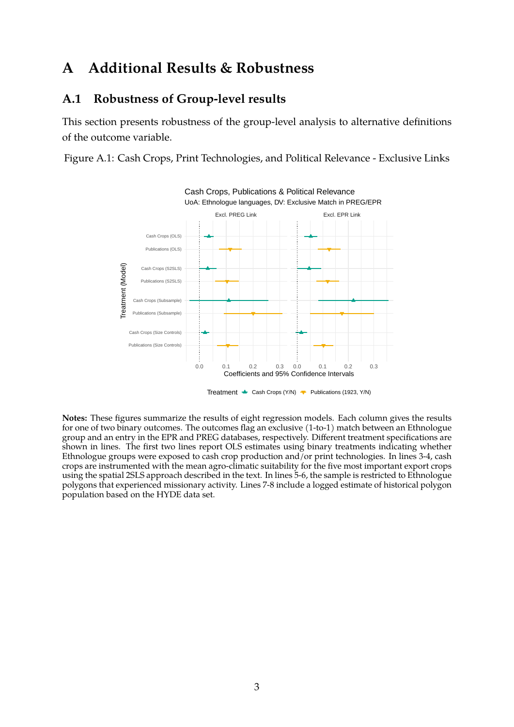### <span id="page-2-0"></span>**A Additional Results & Robustness**

### <span id="page-2-1"></span>**A.1 Robustness of Group-level results**

This section presents robustness of the group-level analysis to alternative definitions of the outcome variable.

Figure A.1: Cash Crops, Print Technologies, and Political Relevance - Exclusive Links



Treatment  $\triangleq$  Cash Crops (Y/N)  $\blacktriangledown$  Publications (1923, Y/N)

**Notes:** These figures summarize the results of eight regression models. Each column gives the results for one of two binary outcomes. The outcomes flag an exclusive (1-to-1) match between an Ethnologue group and an entry in the EPR and PREG databases, respectively. Different treatment specifications are shown in lines. The first two lines report OLS estimates using binary treatments indicating whether Ethnologue groups were exposed to cash crop production and/or print technologies. In lines 3-4, cash crops are instrumented with the mean agro-climatic suitability for the five most important export crops using the spatial 2SLS approach described in the text. In lines 5-6, the sample is restricted to Ethnologue polygons that experienced missionary activity. Lines 7-8 include a logged estimate of historical polygon population based on the HYDE data set.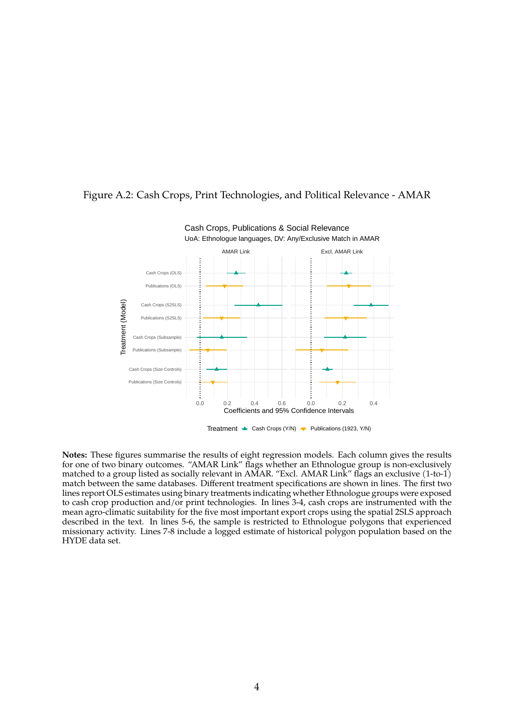

#### Figure A.2: Cash Crops, Print Technologies, and Political Relevance - AMAR

**Notes:** These figures summarise the results of eight regression models. Each column gives the results for one of two binary outcomes. "AMAR Link" flags whether an Ethnologue group is non-exclusively matched to a group listed as socially relevant in AMAR. "Excl. AMAR Link" flags an exclusive (1-to-1) match between the same databases. Different treatment specifications are shown in lines. The first two lines report OLS estimates using binary treatments indicating whether Ethnologue groups were exposed to cash crop production and/or print technologies. In lines 3-4, cash crops are instrumented with the mean agro-climatic suitability for the five most important export crops using the spatial 2SLS approach described in the text. In lines 5-6, the sample is restricted to Ethnologue polygons that experienced missionary activity. Lines 7-8 include a logged estimate of historical polygon population based on the HYDE data set.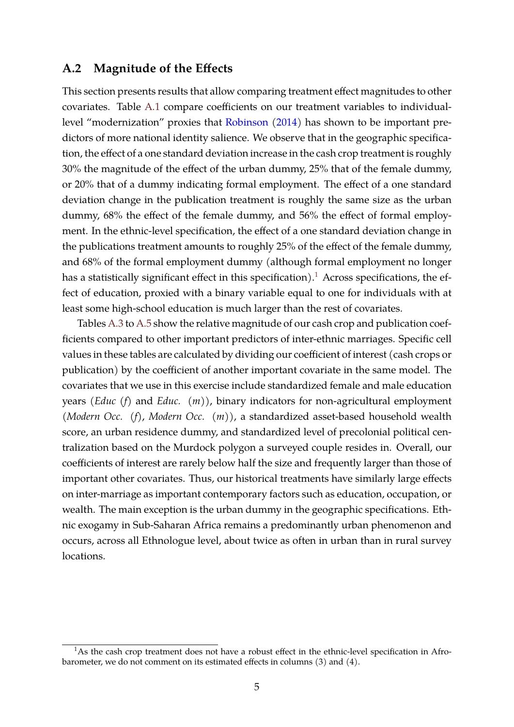### <span id="page-4-0"></span>**A.2 Magnitude of the Effects**

This section presents results that allow comparing treatment effect magnitudes to other covariates. Table [A.1](#page-5-0) compare coefficients on our treatment variables to individuallevel "modernization" proxies that [Robinson](#page-29-0) [\(2014\)](#page-29-0) has shown to be important predictors of more national identity salience. We observe that in the geographic specification, the effect of a one standard deviation increase in the cash crop treatment is roughly 30% the magnitude of the effect of the urban dummy, 25% that of the female dummy, or 20% that of a dummy indicating formal employment. The effect of a one standard deviation change in the publication treatment is roughly the same size as the urban dummy, 68% the effect of the female dummy, and 56% the effect of formal employment. In the ethnic-level specification, the effect of a one standard deviation change in the publications treatment amounts to roughly 25% of the effect of the female dummy, and 68% of the formal employment dummy (although formal employment no longer has a statistically significant effect in this specification).<sup>[1](#page-4-1)</sup> Across specifications, the effect of education, proxied with a binary variable equal to one for individuals with at least some high-school education is much larger than the rest of covariates.

Tables [A.3](#page-6-0) to [A.5](#page-6-1) show the relative magnitude of our cash crop and publication coefficients compared to other important predictors of inter-ethnic marriages. Specific cell values in these tables are calculated by dividing our coefficient of interest (cash crops or publication) by the coefficient of another important covariate in the same model. The covariates that we use in this exercise include standardized female and male education years (*Educ (f)* and *Educ. (m)*), binary indicators for non-agricultural employment (*Modern Occ. (f)*, *Modern Occ. (m)*), a standardized asset-based household wealth score, an urban residence dummy, and standardized level of precolonial political centralization based on the Murdock polygon a surveyed couple resides in. Overall, our coefficients of interest are rarely below half the size and frequently larger than those of important other covariates. Thus, our historical treatments have similarly large effects on inter-marriage as important contemporary factors such as education, occupation, or wealth. The main exception is the urban dummy in the geographic specifications. Ethnic exogamy in Sub-Saharan Africa remains a predominantly urban phenomenon and occurs, across all Ethnologue level, about twice as often in urban than in rural survey locations.

<span id="page-4-1"></span> $1<sup>1</sup>$ As the cash crop treatment does not have a robust effect in the ethnic-level specification in Afrobarometer, we do not comment on its estimated effects in columns (3) and (4).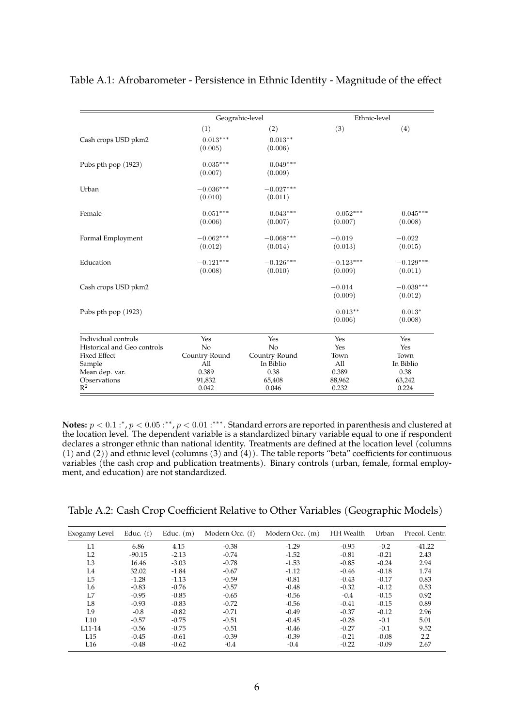|                             | Geograhic-level |               | Ethnic-level |             |
|-----------------------------|-----------------|---------------|--------------|-------------|
|                             | (1)             | (2)           | (3)          | (4)         |
| Cash crops USD pkm2         | $0.013***$      | $0.013**$     |              |             |
|                             | (0.005)         | (0.006)       |              |             |
| Pubs pth pop (1923)         | $0.035***$      | $0.049***$    |              |             |
|                             | (0.007)         | (0.009)       |              |             |
| Urban                       | $-0.036***$     | $-0.027***$   |              |             |
|                             | (0.010)         | (0.011)       |              |             |
| Female                      | $0.051***$      | $0.043***$    | $0.052***$   | $0.045***$  |
|                             | (0.006)         | (0.007)       | (0.007)      | (0.008)     |
| Formal Employment           | $-0.062***$     | $-0.068***$   | $-0.019$     | $-0.022$    |
|                             | (0.012)         | (0.014)       | (0.013)      | (0.015)     |
| Education                   | $-0.121***$     | $-0.126***$   | $-0.123***$  | $-0.129***$ |
|                             | (0.008)         | (0.010)       | (0.009)      | (0.011)     |
| Cash crops USD pkm2         |                 |               | $-0.014$     | $-0.039***$ |
|                             |                 |               | (0.009)      | (0.012)     |
| Pubs pth pop (1923)         |                 |               | $0.013**$    | $0.013*$    |
|                             |                 |               | (0.006)      | (0.008)     |
| Individual controls         | Yes             | Yes           | Yes          | Yes         |
| Historical and Geo controls | No              | No            | Yes          | Yes         |
| <b>Fixed Effect</b>         | Country-Round   | Country-Round | Town         | Town        |
| Sample                      | All             | In Biblio     | All          | In Biblio   |
| Mean dep. var.              | 0.389           | 0.38          | 0.389        | 0.38        |
| Observations                | 91,832          | 65,408        | 88,962       | 63,242      |
| $R^2$                       | 0.042           | 0.046         | 0.232        | 0.224       |

#### <span id="page-5-0"></span>Table A.1: Afrobarometer - Persistence in Ethnic Identity - Magnitude of the effect

**Notes:**  $p < 0.1$  :\*,  $p < 0.05$  :\*\*,  $p < 0.01$  :\*\*\*. Standard errors are reported in parenthesis and clustered at the location level. The dependent variable is a standardized binary variable equal to one if respondent declares a stronger ethnic than national identity. Treatments are defined at the location level (columns (1) and (2)) and ethnic level (columns (3) and  $(4)$ ). The table reports "beta" coefficients for continuous variables (the cash crop and publication treatments). Binary controls (urban, female, formal employment, and education) are not standardized.

|  | Table A.2: Cash Crop Coefficient Relative to Other Variables (Geographic Models) |  |  |
|--|----------------------------------------------------------------------------------|--|--|
|--|----------------------------------------------------------------------------------|--|--|

| Exogamy Level       | Educ. $(f)$ | Educ. $(m)$ | Modern Occ. (f) | Modern Occ. (m) | <b>HH</b> Wealth | Urban   | Precol. Centr.   |
|---------------------|-------------|-------------|-----------------|-----------------|------------------|---------|------------------|
| L1                  | 6.86        | 4.15        | $-0.38$         | $-1.29$         | $-0.95$          | $-0.2$  | $-41.22$         |
| L <sub>2</sub>      | $-90.15$    | $-2.13$     | $-0.74$         | $-1.52$         | $-0.81$          | $-0.21$ | 2.43             |
| L <sub>3</sub>      | 16.46       | $-3.03$     | $-0.78$         | $-1.53$         | $-0.85$          | $-0.24$ | 2.94             |
| L <sub>4</sub>      | 32.02       | $-1.84$     | $-0.67$         | $-1.12$         | $-0.46$          | $-0.18$ | 1.74             |
| L <sub>5</sub>      | $-1.28$     | $-1.13$     | $-0.59$         | $-0.81$         | $-0.43$          | $-0.17$ | 0.83             |
| L6                  | $-0.83$     | $-0.76$     | $-0.57$         | $-0.48$         | $-0.32$          | $-0.12$ | 0.53             |
| L7                  | $-0.95$     | $-0.85$     | $-0.65$         | $-0.56$         | $-0.4$           | $-0.15$ | 0.92             |
| L8                  | $-0.93$     | $-0.83$     | $-0.72$         | $-0.56$         | $-0.41$          | $-0.15$ | 0.89             |
| L9                  | $-0.8$      | $-0.82$     | $-0.71$         | $-0.49$         | $-0.37$          | $-0.12$ | 2.96             |
| L10                 | $-0.57$     | $-0.75$     | $-0.51$         | $-0.45$         | $-0.28$          | $-0.1$  | 5.01             |
| L <sub>11</sub> -14 | $-0.56$     | $-0.75$     | $-0.51$         | $-0.46$         | $-0.27$          | $-0.1$  | 9.52             |
| L15                 | $-0.45$     | $-0.61$     | $-0.39$         | $-0.39$         | $-0.21$          | $-0.08$ | $2.2\phantom{0}$ |
| L16                 | $-0.48$     | $-0.62$     | $-0.4$          | $-0.4$          | $-0.22$          | $-0.09$ | 2.67             |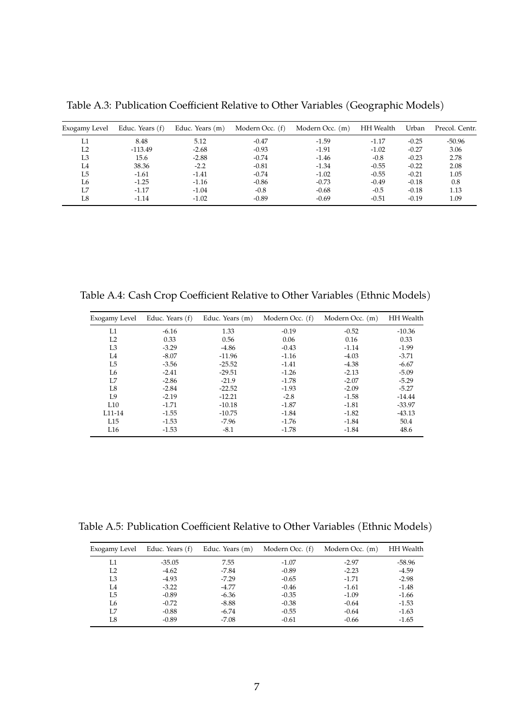| Exogamy Level  | Educ. Years (f) | Educ. Years (m) | Modern Occ. (f) | Modern Occ. (m) | <b>HH</b> Wealth | Urban   | Precol. Centr. |
|----------------|-----------------|-----------------|-----------------|-----------------|------------------|---------|----------------|
| L1             | 8.48            | 5.12            | $-0.47$         | $-1.59$         | $-1.17$          | $-0.25$ | $-50.96$       |
| L <sub>2</sub> | $-113.49$       | $-2.68$         | $-0.93$         | $-1.91$         | $-1.02$          | $-0.27$ | 3.06           |
| L3             | 15.6            | $-2.88$         | $-0.74$         | $-1.46$         | $-0.8$           | $-0.23$ | 2.78           |
| I 4            | 38.36           | $-2.2$          | $-0.81$         | $-1.34$         | $-0.55$          | $-0.22$ | 2.08           |
| L5             | $-1.61$         | $-1.41$         | $-0.74$         | $-1.02$         | $-0.55$          | $-0.21$ | 1.05           |
| L6             | $-1.25$         | $-1.16$         | $-0.86$         | $-0.73$         | $-0.49$          | $-0.18$ | 0.8            |
| Ι.7            | $-1.17$         | $-1.04$         | $-0.8$          | $-0.68$         | $-0.5$           | $-0.18$ | 1.13           |
| L8             | $-1.14$         | $-1.02$         | $-0.89$         | $-0.69$         | $-0.51$          | $-0.19$ | 1.09           |

<span id="page-6-0"></span>Table A.3: Publication Coefficient Relative to Other Variables (Geographic Models)

Table A.4: Cash Crop Coefficient Relative to Other Variables (Ethnic Models)

| Exogamy Level       | Educ. Years (f) | Educ. Years (m) | Modern Occ. (f) | Modern Occ. (m) | <b>HH</b> Wealth |
|---------------------|-----------------|-----------------|-----------------|-----------------|------------------|
| L1                  | $-6.16$         | 1.33            | $-0.19$         | $-0.52$         | $-10.36$         |
| L <sub>2</sub>      | 0.33            | 0.56            | 0.06            | 0.16            | 0.33             |
| L <sub>3</sub>      | $-3.29$         | $-4.86$         | $-0.43$         | $-1.14$         | $-1.99$          |
| L4                  | $-8.07$         | $-11.96$        | $-1.16$         | $-4.03$         | $-3.71$          |
| L <sub>5</sub>      | $-3.56$         | $-25.52$        | $-1.41$         | $-4.38$         | $-6.67$          |
| L6                  | $-2.41$         | $-29.51$        | $-1.26$         | $-2.13$         | $-5.09$          |
| L7                  | $-2.86$         | $-21.9$         | $-1.78$         | $-2.07$         | $-5.29$          |
| L8                  | $-2.84$         | $-22.52$        | $-1.93$         | $-2.09$         | $-5.27$          |
| L9                  | $-2.19$         | $-12.21$        | $-2.8$          | $-1.58$         | $-14.44$         |
| L10                 | $-1.71$         | $-10.18$        | $-1.87$         | $-1.81$         | $-33.97$         |
| L <sub>11</sub> -14 | $-1.55$         | $-10.75$        | $-1.84$         | $-1.82$         | $-43.13$         |
| L15                 | $-1.53$         | $-7.96$         | $-1.76$         | $-1.84$         | 50.4             |
| L16                 | $-1.53$         | $-8.1$          | $-1.78$         | $-1.84$         | 48.6             |

<span id="page-6-1"></span>Table A.5: Publication Coefficient Relative to Other Variables (Ethnic Models)

| Exogamy Level  | Educ. Years (f) | Educ. Years (m) | Modern Occ. (f) | Modern Occ. (m) | <b>HH</b> Wealth |
|----------------|-----------------|-----------------|-----------------|-----------------|------------------|
| L1             | $-35.05$        | 7.55            | $-1.07$         | $-2.97$         | -58.96           |
| L <sub>2</sub> | $-4.62$         | $-7.84$         | $-0.89$         | $-2.23$         | $-4.59$          |
| L3             | $-4.93$         | $-7.29$         | $-0.65$         | $-1.71$         | $-2.98$          |
| I 4            | $-3.22$         | $-4.77$         | $-0.46$         | $-1.61$         | $-1.48$          |
| I.5            | $-0.89$         | $-6.36$         | $-0.35$         | $-1.09$         | $-1.66$          |
| L6             | $-0.72$         | $-8.88$         | $-0.38$         | $-0.64$         | $-1.53$          |
| I.Z            | $-0.88$         | $-6.74$         | $-0.55$         | $-0.64$         | $-1.63$          |
| L8             | $-0.89$         | $-7.08$         | $-0.61$         | $-0.66$         | $-1.65$          |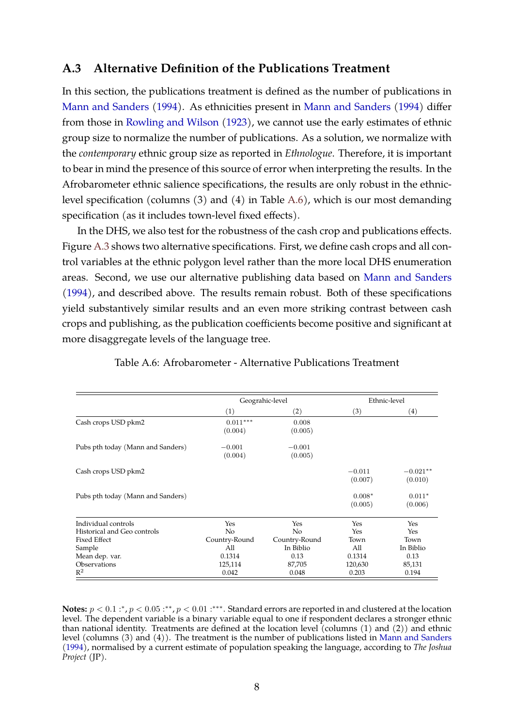### <span id="page-7-0"></span>**A.3 Alternative Definition of the Publications Treatment**

In this section, the publications treatment is defined as the number of publications in [Mann and Sanders](#page-29-1) [\(1994\)](#page-29-1). As ethnicities present in [Mann and Sanders](#page-29-1) [\(1994\)](#page-29-1) differ from those in [Rowling and Wilson](#page-30-0) [\(1923\)](#page-30-0), we cannot use the early estimates of ethnic group size to normalize the number of publications. As a solution, we normalize with the *contemporary* ethnic group size as reported in *Ethnologue*. Therefore, it is important to bear in mind the presence of this source of error when interpreting the results. In the Afrobarometer ethnic salience specifications, the results are only robust in the ethniclevel specification (columns (3) and (4) in Table [A.6\)](#page-7-1), which is our most demanding specification (as it includes town-level fixed effects).

In the DHS, we also test for the robustness of the cash crop and publications effects. Figure [A.3](#page-8-1) shows two alternative specifications. First, we define cash crops and all control variables at the ethnic polygon level rather than the more local DHS enumeration areas. Second, we use our alternative publishing data based on [Mann and Sanders](#page-29-1) [\(1994\)](#page-29-1), and described above. The results remain robust. Both of these specifications yield substantively similar results and an even more striking contrast between cash crops and publishing, as the publication coefficients become positive and significant at more disaggregate levels of the language tree.

<span id="page-7-1"></span>

|                                   | Geograhic-level       |                     |                     | Ethnic-level          |
|-----------------------------------|-----------------------|---------------------|---------------------|-----------------------|
|                                   | (1)                   | (2)                 | (3)                 | $\left( 4\right)$     |
| Cash crops USD pkm2               | $0.011***$<br>(0.004) | 0.008<br>(0.005)    |                     |                       |
| Pubs pth today (Mann and Sanders) | $-0.001$<br>(0.004)   | $-0.001$<br>(0.005) |                     |                       |
| Cash crops USD pkm2               |                       |                     | $-0.011$<br>(0.007) | $-0.021**$<br>(0.010) |
| Pubs pth today (Mann and Sanders) |                       |                     | $0.008*$<br>(0.005) | $0.011*$<br>(0.006)   |
| Individual controls               | Yes                   | Yes                 | Yes                 | Yes                   |
| Historical and Geo controls       | No                    | N <sub>o</sub>      | Yes                 | Yes                   |
| <b>Fixed Effect</b>               | Country-Round         | Country-Round       | Town                | Town                  |
| Sample                            | All                   | In Biblio           | All                 | In Biblio             |
| Mean dep. var.                    | 0.1314                | 0.13                | 0.1314              | 0.13                  |
| Observations                      | 125,114               | 87,705              | 120,630             | 85,131                |
| $\mathbb{R}^2$                    | 0.042                 | 0.048               | 0.203               | 0.194                 |

Table A.6: Afrobarometer - Alternative Publications Treatment

**Notes:**  $p < 0.1$  :\*,  $p < 0.05$  :\*\*,  $p < 0.01$  :\*\*\*. Standard errors are reported in and clustered at the location level. The dependent variable is a binary variable equal to one if respondent declares a stronger ethnic than national identity. Treatments are defined at the location level (columns (1) and (2)) and ethnic level (columns (3) and (4)). The treatment is the number of publications listed in [Mann and Sanders](#page-29-1) [\(1994\)](#page-29-1), normalised by a current estimate of population speaking the language, according to *The Joshua Project* (JP).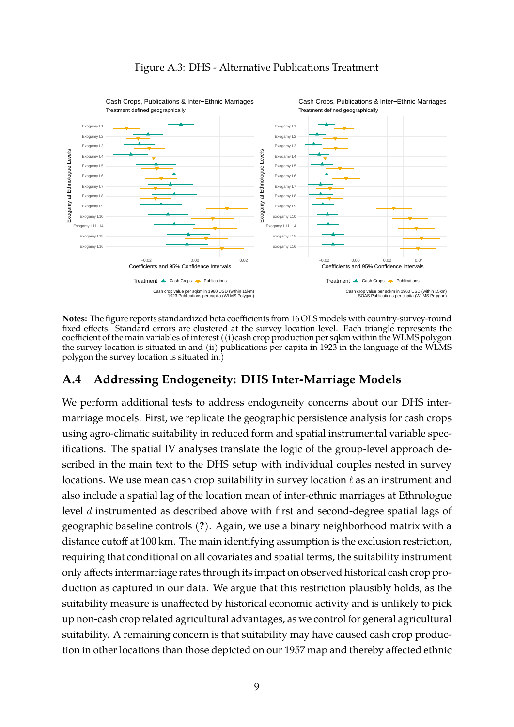<span id="page-8-1"></span>

### Figure A.3: DHS - Alternative Publications Treatment

**Notes:** The figure reports standardized beta coefficients from 16 OLS models with country-survey-round fixed effects. Standard errors are clustered at the survey location level. Each triangle represents the coefficient of the main variables of interest ((i)cash crop production per sqkm within the WLMS polygon the survey location is situated in and (ii) publications per capita in 1923 in the language of the WLMS polygon the survey location is situated in.)

### <span id="page-8-0"></span>**A.4 Addressing Endogeneity: DHS Inter-Marriage Models**

We perform additional tests to address endogeneity concerns about our DHS intermarriage models. First, we replicate the geographic persistence analysis for cash crops using agro-climatic suitability in reduced form and spatial instrumental variable specifications. The spatial IV analyses translate the logic of the group-level approach described in the main text to the DHS setup with individual couples nested in survey locations. We use mean cash crop suitability in survey location  $\ell$  as an instrument and also include a spatial lag of the location mean of inter-ethnic marriages at Ethnologue level d instrumented as described above with first and second-degree spatial lags of geographic baseline controls (**?**). Again, we use a binary neighborhood matrix with a distance cutoff at 100 km. The main identifying assumption is the exclusion restriction, requiring that conditional on all covariates and spatial terms, the suitability instrument only affects intermarriage rates through its impact on observed historical cash crop production as captured in our data. We argue that this restriction plausibly holds, as the suitability measure is unaffected by historical economic activity and is unlikely to pick up non-cash crop related agricultural advantages, as we control for general agricultural suitability. A remaining concern is that suitability may have caused cash crop production in other locations than those depicted on our 1957 map and thereby affected ethnic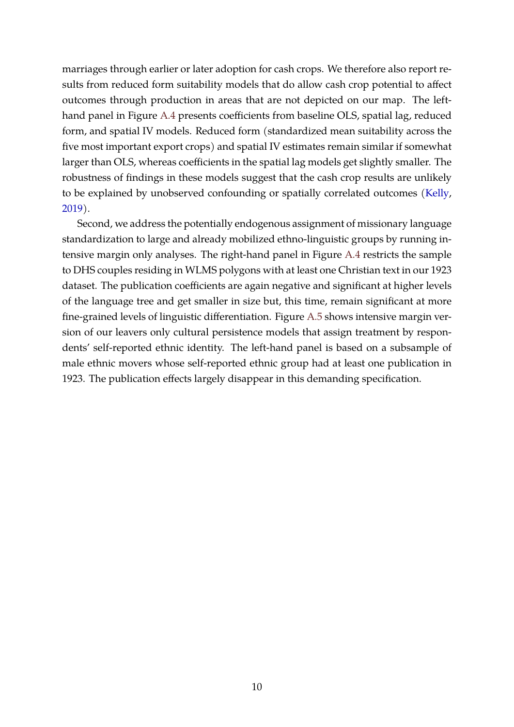marriages through earlier or later adoption for cash crops. We therefore also report results from reduced form suitability models that do allow cash crop potential to affect outcomes through production in areas that are not depicted on our map. The lefthand panel in Figure [A.4](#page-10-0) presents coefficients from baseline OLS, spatial lag, reduced form, and spatial IV models. Reduced form (standardized mean suitability across the five most important export crops) and spatial IV estimates remain similar if somewhat larger than OLS, whereas coefficients in the spatial lag models get slightly smaller. The robustness of findings in these models suggest that the cash crop results are unlikely to be explained by unobserved confounding or spatially correlated outcomes [\(Kelly,](#page-29-2) [2019\)](#page-29-2).

Second, we address the potentially endogenous assignment of missionary language standardization to large and already mobilized ethno-linguistic groups by running intensive margin only analyses. The right-hand panel in Figure [A.4](#page-10-0) restricts the sample to DHS couples residing in WLMS polygons with at least one Christian text in our 1923 dataset. The publication coefficients are again negative and significant at higher levels of the language tree and get smaller in size but, this time, remain significant at more fine-grained levels of linguistic differentiation. Figure [A.5](#page-11-0) shows intensive margin version of our leavers only cultural persistence models that assign treatment by respondents' self-reported ethnic identity. The left-hand panel is based on a subsample of male ethnic movers whose self-reported ethnic group had at least one publication in 1923. The publication effects largely disappear in this demanding specification.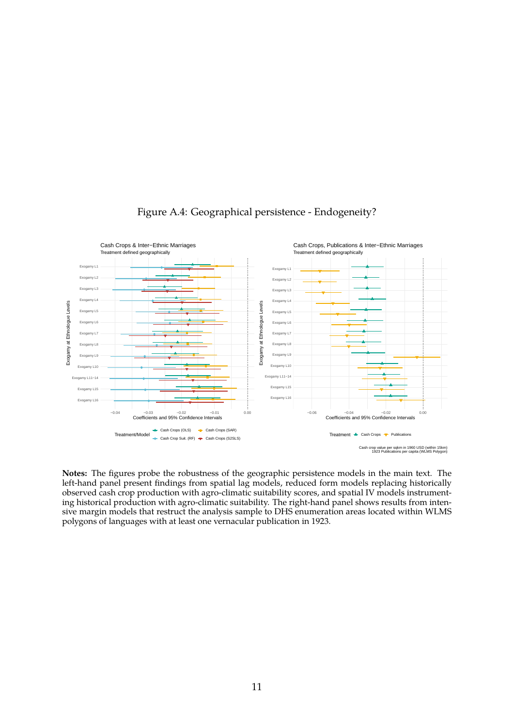<span id="page-10-0"></span>

### Figure A.4: Geographical persistence - Endogeneity?

**Notes:** The figures probe the robustness of the geographic persistence models in the main text. The left-hand panel present findings from spatial lag models, reduced form models replacing historically observed cash crop production with agro-climatic suitability scores, and spatial IV models instrumenting historical production with agro-climatic suitability. The right-hand panel shows results from intensive margin models that restruct the analysis sample to DHS enumeration areas located within WLMS polygons of languages with at least one vernacular publication in 1923.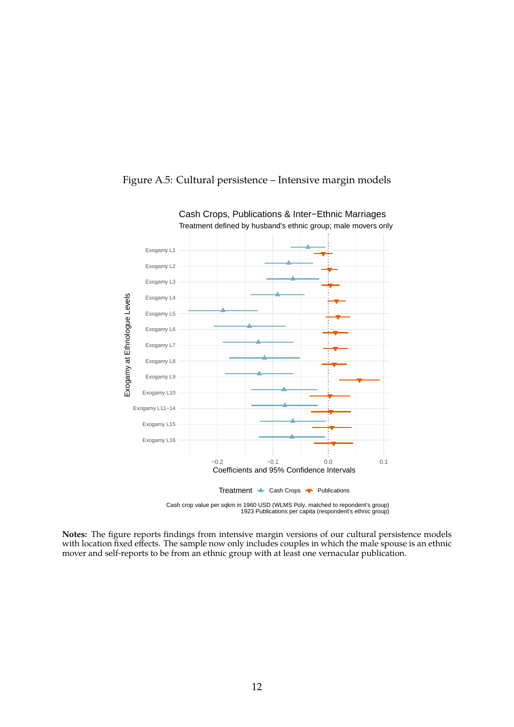

### <span id="page-11-0"></span>Figure A.5: Cultural persistence – Intensive margin models

**Notes:** The figure reports findings from intensive margin versions of our cultural persistence models

with location fixed effects. The sample now only includes couples in which the male spouse is an ethnic mover and self-reports to be from an ethnic group with at least one vernacular publication.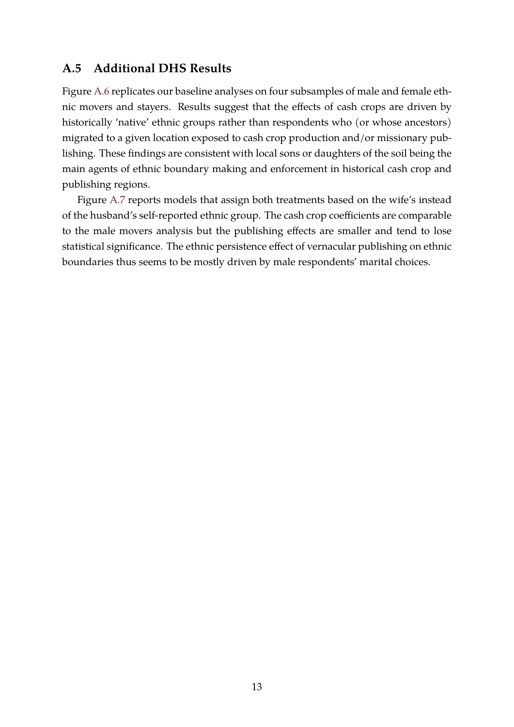### <span id="page-12-0"></span>**A.5 Additional DHS Results**

Figure [A.6](#page-13-0) replicates our baseline analyses on four subsamples of male and female ethnic movers and stayers. Results suggest that the effects of cash crops are driven by historically 'native' ethnic groups rather than respondents who (or whose ancestors) migrated to a given location exposed to cash crop production and/or missionary publishing. These findings are consistent with local sons or daughters of the soil being the main agents of ethnic boundary making and enforcement in historical cash crop and publishing regions.

Figure [A.7](#page-14-0) reports models that assign both treatments based on the wife's instead of the husband's self-reported ethnic group. The cash crop coefficients are comparable to the male movers analysis but the publishing effects are smaller and tend to lose statistical significance. The ethnic persistence effect of vernacular publishing on ethnic boundaries thus seems to be mostly driven by male respondents' marital choices.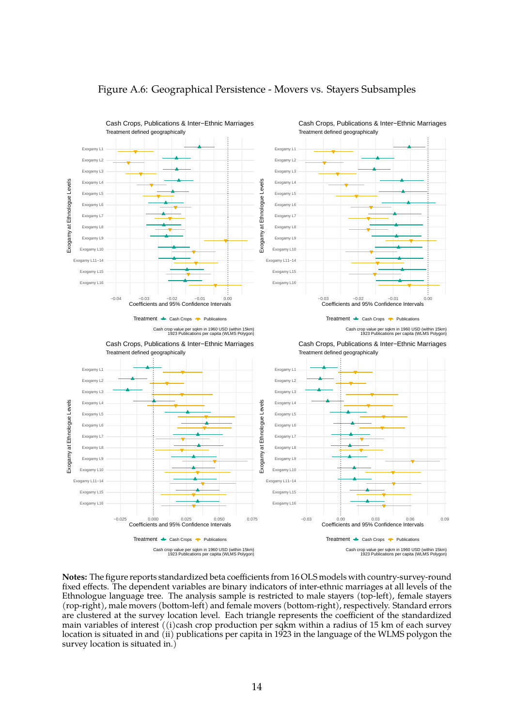<span id="page-13-0"></span>

#### Figure A.6: Geographical Persistence - Movers vs. Stayers Subsamples

**Notes:** The figure reports standardized beta coefficients from 16 OLS models with country-survey-round fixed effects. The dependent variables are binary indicators of inter-ethnic marriages at all levels of the Ethnologue language tree. The analysis sample is restricted to male stayers (top-left), female stayers (rop-right), male movers (bottom-left) and female movers (bottom-right), respectively. Standard errors are clustered at the survey location level. Each triangle represents the coefficient of the standardized main variables of interest ((i)cash crop production per sqkm within a radius of 15 km of each survey location is situated in and (ii) publications per capita in 1923 in the language of the WLMS polygon the survey location is situated in.)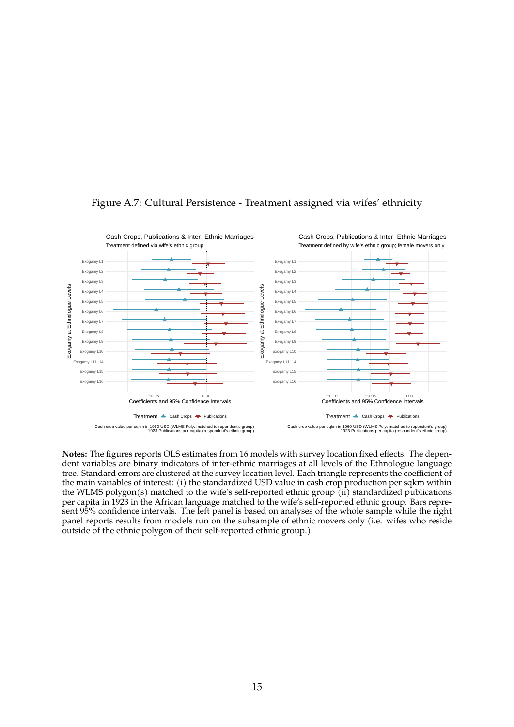

### <span id="page-14-0"></span>Figure A.7: Cultural Persistence - Treatment assigned via wifes' ethnicity

**Notes:** The figures reports OLS estimates from 16 models with survey location fixed effects. The dependent variables are binary indicators of inter-ethnic marriages at all levels of the Ethnologue language tree. Standard errors are clustered at the survey location level. Each triangle represents the coefficient of the main variables of interest: (i) the standardized USD value in cash crop production per sqkm within the WLMS polygon(s) matched to the wife's self-reported ethnic group (ii) standardized publications per capita in 1923 in the African language matched to the wife's self-reported ethnic group. Bars represent 95% confidence intervals. The left panel is based on analyses of the whole sample while the right panel reports results from models run on the subsample of ethnic movers only (i.e. wifes who reside outside of the ethnic polygon of their self-reported ethnic group.)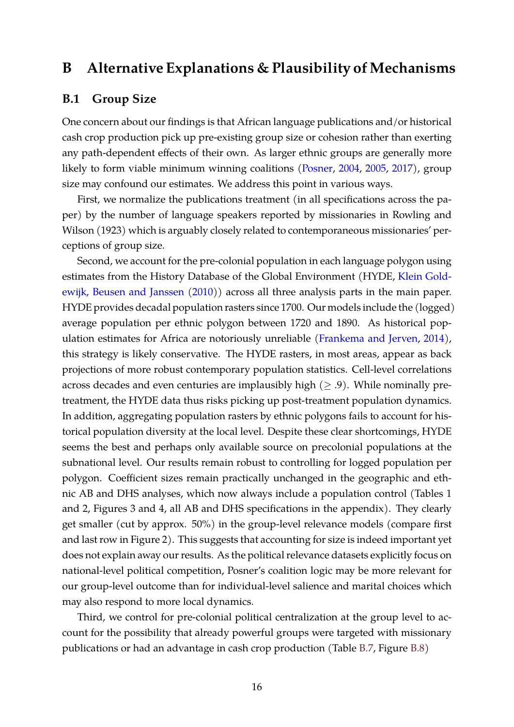### <span id="page-15-0"></span>**B Alternative Explanations & Plausibility of Mechanisms**

### <span id="page-15-1"></span>**B.1 Group Size**

One concern about our findings is that African language publications and/or historical cash crop production pick up pre-existing group size or cohesion rather than exerting any path-dependent effects of their own. As larger ethnic groups are generally more likely to form viable minimum winning coalitions [\(Posner,](#page-29-3) [2004,](#page-29-3) [2005,](#page-29-4) [2017\)](#page-29-5), group size may confound our estimates. We address this point in various ways.

First, we normalize the publications treatment (in all specifications across the paper) by the number of language speakers reported by missionaries in Rowling and Wilson (1923) which is arguably closely related to contemporaneous missionaries' perceptions of group size.

Second, we account for the pre-colonial population in each language polygon using estimates from the History Database of the Global Environment (HYDE, [Klein Gold](#page-29-6)[ewijk, Beusen and Janssen](#page-29-6) [\(2010\)](#page-29-6)) across all three analysis parts in the main paper. HYDE provides decadal population rasters since 1700. Our models include the (logged) average population per ethnic polygon between 1720 and 1890. As historical population estimates for Africa are notoriously unreliable [\(Frankema and Jerven,](#page-29-7) [2014\)](#page-29-7), this strategy is likely conservative. The HYDE rasters, in most areas, appear as back projections of more robust contemporary population statistics. Cell-level correlations across decades and even centuries are implausibly high  $(\geq .9)$ . While nominally pretreatment, the HYDE data thus risks picking up post-treatment population dynamics. In addition, aggregating population rasters by ethnic polygons fails to account for historical population diversity at the local level. Despite these clear shortcomings, HYDE seems the best and perhaps only available source on precolonial populations at the subnational level. Our results remain robust to controlling for logged population per polygon. Coefficient sizes remain practically unchanged in the geographic and ethnic AB and DHS analyses, which now always include a population control (Tables 1 and 2, Figures 3 and 4, all AB and DHS specifications in the appendix). They clearly get smaller (cut by approx. 50%) in the group-level relevance models (compare first and last row in Figure 2). This suggests that accounting for size is indeed important yet does not explain away our results. As the political relevance datasets explicitly focus on national-level political competition, Posner's coalition logic may be more relevant for our group-level outcome than for individual-level salience and marital choices which may also respond to more local dynamics.

Third, we control for pre-colonial political centralization at the group level to account for the possibility that already powerful groups were targeted with missionary publications or had an advantage in cash crop production (Table [B.7,](#page-16-0) Figure [B.8\)](#page-17-0)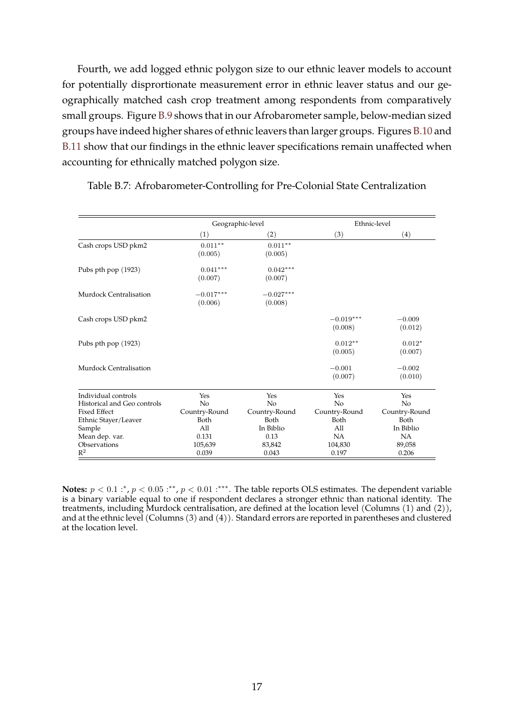Fourth, we add logged ethnic polygon size to our ethnic leaver models to account for potentially disprortionate measurement error in ethnic leaver status and our geographically matched cash crop treatment among respondents from comparatively small groups. Figure [B.9](#page-18-0) shows that in our Afrobarometer sample, below-median sized groups have indeed higher shares of ethnic leavers than larger groups. Figures [B.10](#page-19-0) and [B.11](#page-19-1) show that our findings in the ethnic leaver specifications remain unaffected when accounting for ethnically matched polygon size.

|                             | Geographic-level       |                        |                        | Ethnic-level        |
|-----------------------------|------------------------|------------------------|------------------------|---------------------|
|                             | (1)                    | $\left( 2\right)$      | (3)                    | $\left( 4\right)$   |
| Cash crops USD pkm2         | $0.011**$<br>(0.005)   | $0.011**$<br>(0.005)   |                        |                     |
| Pubs pth pop (1923)         | $0.041***$<br>(0.007)  | $0.042***$<br>(0.007)  |                        |                     |
| Murdock Centralisation      | $-0.017***$<br>(0.006) | $-0.027***$<br>(0.008) |                        |                     |
| Cash crops USD pkm2         |                        |                        | $-0.019***$<br>(0.008) | $-0.009$<br>(0.012) |
| Pubs pth pop (1923)         |                        |                        | $0.012**$<br>(0.005)   | $0.012*$<br>(0.007) |
| Murdock Centralisation      |                        |                        | $-0.001$<br>(0.007)    | $-0.002$<br>(0.010) |
| Individual controls         | Yes                    | Yes                    | Yes                    | Yes                 |
| Historical and Geo controls | No                     | No                     | No                     | No                  |
| <b>Fixed Effect</b>         | Country-Round          | Country-Round          | Country-Round          | Country-Round       |
| Ethnic Stayer/Leaver        | Both                   | Both                   | Both                   | Both                |
| Sample                      | All                    | In Biblio              | All                    | In Biblio           |
| Mean dep. var.              | 0.131                  | 0.13                   | <b>NA</b>              | NA                  |
| Observations                | 105,639                | 83,842                 | 104,830                | 89,058              |
| $\mathbb{R}^2$              | 0.039                  | 0.043                  | 0.197                  | 0.206               |

<span id="page-16-0"></span>Table B.7: Afrobarometer-Controlling for Pre-Colonial State Centralization

**Notes:**  $p < 0.1$  :\*,  $p < 0.05$  :\*\*,  $p < 0.01$  :\*\*\*. The table reports OLS estimates. The dependent variable is a binary variable equal to one if respondent declares a stronger ethnic than national identity. The treatments, including Murdock centralisation, are defined at the location level (Columns (1) and (2)), and at the ethnic level (Columns (3) and (4)). Standard errors are reported in parentheses and clustered at the location level.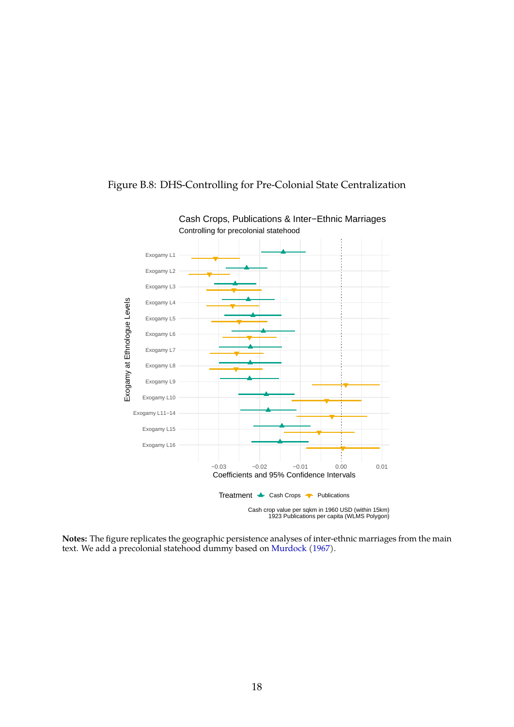

### <span id="page-17-0"></span>Figure B.8: DHS-Controlling for Pre-Colonial State Centralization

**Notes:** The figure replicates the geographic persistence analyses of inter-ethnic marriages from the main text. We add a precolonial statehood dummy based on [Murdock](#page-29-8) [\(1967\)](#page-29-8).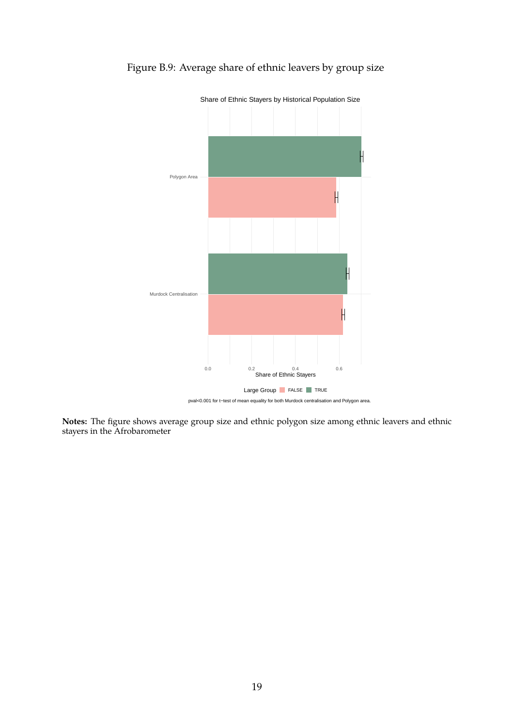

<span id="page-18-0"></span>

**Notes:** The figure shows average group size and ethnic polygon size among ethnic leavers and ethnic stayers in the Afrobarometer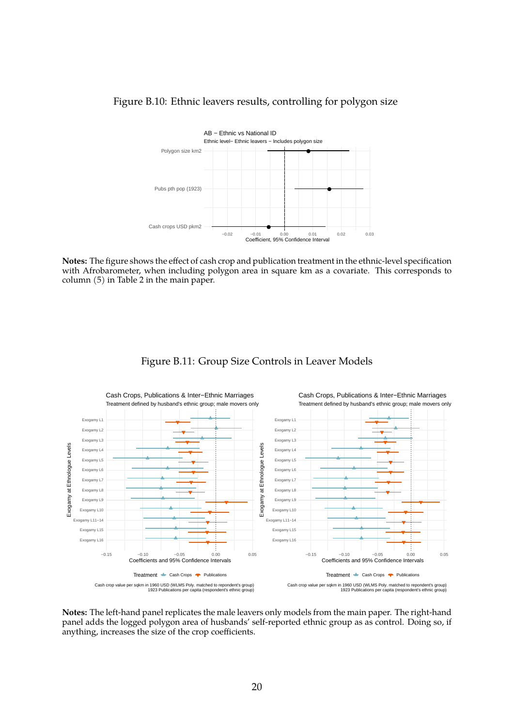

### <span id="page-19-0"></span>Figure B.10: Ethnic leavers results, controlling for polygon size

**Notes:** The figure shows the effect of cash crop and publication treatment in the ethnic-level specification with Afrobarometer, when including polygon area in square km as a covariate. This corresponds to column (5) in Table 2 in the main paper.

### Figure B.11: Group Size Controls in Leaver Models

<span id="page-19-1"></span>

**Notes:** The left-hand panel replicates the male leavers only models from the main paper. The right-hand panel adds the logged polygon area of husbands' self-reported ethnic group as as control. Doing so, if anything, increases the size of the crop coefficients.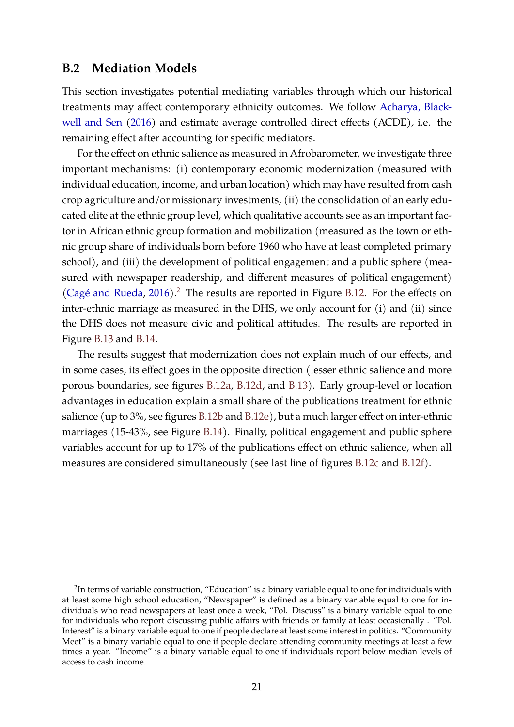### <span id="page-20-0"></span>**B.2 Mediation Models**

This section investigates potential mediating variables through which our historical treatments may affect contemporary ethnicity outcomes. We follow [Acharya, Black](#page-29-9)[well and Sen](#page-29-9) [\(2016\)](#page-29-9) and estimate average controlled direct effects (ACDE), i.e. the remaining effect after accounting for specific mediators.

For the effect on ethnic salience as measured in Afrobarometer, we investigate three important mechanisms: (i) contemporary economic modernization (measured with individual education, income, and urban location) which may have resulted from cash crop agriculture and/or missionary investments, (ii) the consolidation of an early educated elite at the ethnic group level, which qualitative accounts see as an important factor in African ethnic group formation and mobilization (measured as the town or ethnic group share of individuals born before 1960 who have at least completed primary school), and (iii) the development of political engagement and a public sphere (measured with newspaper readership, and different measures of political engagement) (Cagé and Rueda,  $2016$  $2016$ ).<sup>2</sup> The results are reported in Figure [B.12.](#page-21-0) For the effects on inter-ethnic marriage as measured in the DHS, we only account for (i) and (ii) since the DHS does not measure civic and political attitudes. The results are reported in Figure [B.13](#page-22-0) and [B.14.](#page-22-1)

The results suggest that modernization does not explain much of our effects, and in some cases, its effect goes in the opposite direction (lesser ethnic salience and more porous boundaries, see figures [B.12a,](#page-21-0) [B.12d,](#page-21-0) and [B.13\)](#page-22-0). Early group-level or location advantages in education explain a small share of the publications treatment for ethnic salience (up to 3%, see figures [B.12b](#page-21-0) and [B.12e\)](#page-21-0), but a much larger effect on inter-ethnic marriages (15-43%, see Figure [B.14\)](#page-22-1). Finally, political engagement and public sphere variables account for up to 17% of the publications effect on ethnic salience, when all measures are considered simultaneously (see last line of figures [B.12c](#page-21-0) and [B.12f\)](#page-21-0).

<span id="page-20-1"></span> $^2$ In terms of variable construction, "Education" is a binary variable equal to one for individuals with at least some high school education, "Newspaper" is defined as a binary variable equal to one for individuals who read newspapers at least once a week, "Pol. Discuss" is a binary variable equal to one for individuals who report discussing public affairs with friends or family at least occasionally . "Pol. Interest" is a binary variable equal to one if people declare at least some interest in politics. "Community Meet" is a binary variable equal to one if people declare attending community meetings at least a few times a year. "Income" is a binary variable equal to one if individuals report below median levels of access to cash income.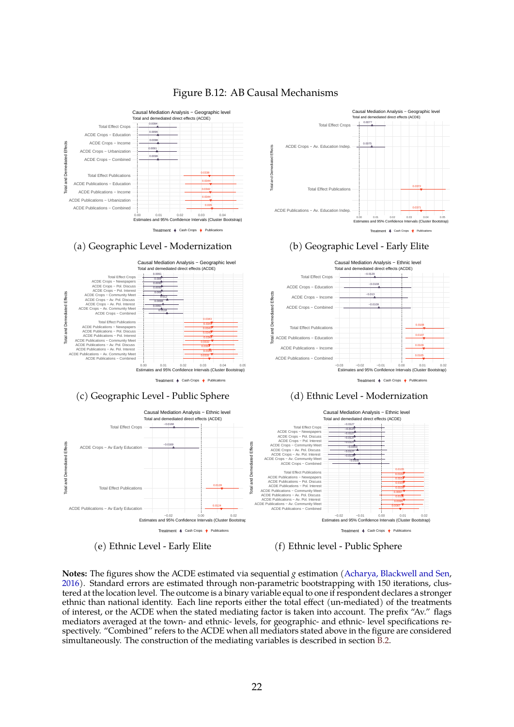<span id="page-21-0"></span>

#### Figure B.12: AB Causal Mechanisms

**Notes:** The figures show the ACDE estimated via sequential *g* estimation [\(Acharya, Blackwell and Sen,](#page-29-9) [2016\)](#page-29-9). Standard errors are estimated through non-parametric bootstrapping with 150 iterations, clustered at the location level. The outcome is a binary variable equal to one if respondent declares a stronger ethnic than national identity. Each line reports either the total effect (un-mediated) of the treatments of interest, or the ACDE when the stated mediating factor is taken into account. The prefix "Av." flags mediators averaged at the town- and ethnic- levels, for geographic- and ethnic- level specifications respectively. "Combined" refers to the ACDE when all mediators stated above in the figure are considered simultaneously. The construction of the mediating variables is described in section [B.2.](#page-20-0)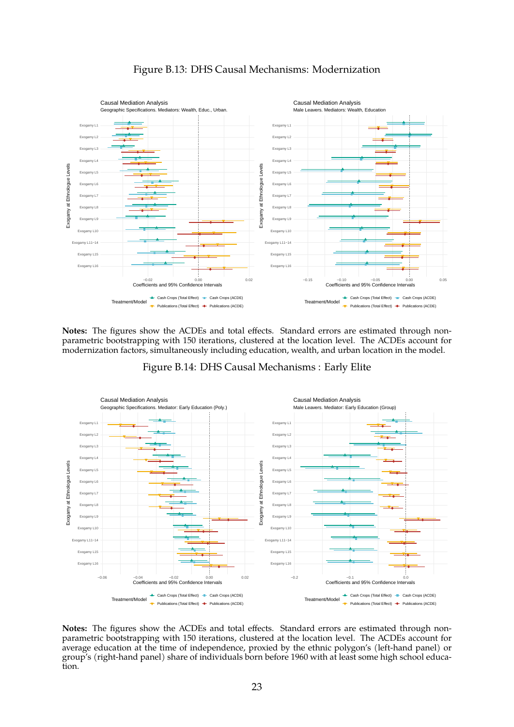<span id="page-22-0"></span>

### Figure B.13: DHS Causal Mechanisms: Modernization

<span id="page-22-1"></span>**Notes:** The figures show the ACDEs and total effects. Standard errors are estimated through nonparametric bootstrapping with 150 iterations, clustered at the location level. The ACDEs account for modernization factors, simultaneously including education, wealth, and urban location in the model.





**Notes:** The figures show the ACDEs and total effects. Standard errors are estimated through nonparametric bootstrapping with 150 iterations, clustered at the location level. The ACDEs account for average education at the time of independence, proxied by the ethnic polygon's (left-hand panel) or group's (right-hand panel) share of individuals born before 1960 with at least some high school education.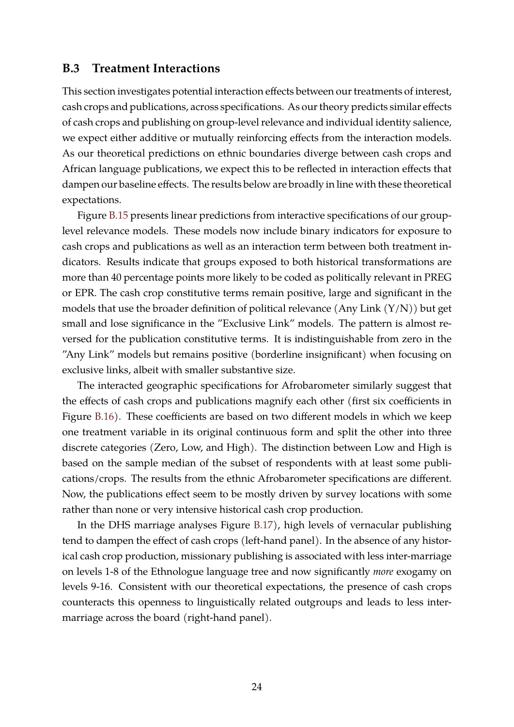### <span id="page-23-0"></span>**B.3 Treatment Interactions**

This section investigates potential interaction effects between our treatments of interest, cash crops and publications, across specifications. As our theory predicts similar effects of cash crops and publishing on group-level relevance and individual identity salience, we expect either additive or mutually reinforcing effects from the interaction models. As our theoretical predictions on ethnic boundaries diverge between cash crops and African language publications, we expect this to be reflected in interaction effects that dampen our baseline effects. The results below are broadly in line with these theoretical expectations.

Figure [B.15](#page-24-0) presents linear predictions from interactive specifications of our grouplevel relevance models. These models now include binary indicators for exposure to cash crops and publications as well as an interaction term between both treatment indicators. Results indicate that groups exposed to both historical transformations are more than 40 percentage points more likely to be coded as politically relevant in PREG or EPR. The cash crop constitutive terms remain positive, large and significant in the models that use the broader definition of political relevance (Any Link  $(Y/N)$ ) but get small and lose significance in the "Exclusive Link" models. The pattern is almost reversed for the publication constitutive terms. It is indistinguishable from zero in the "Any Link" models but remains positive (borderline insignificant) when focusing on exclusive links, albeit with smaller substantive size.

The interacted geographic specifications for Afrobarometer similarly suggest that the effects of cash crops and publications magnify each other (first six coefficients in Figure [B.16\)](#page-25-0). These coefficients are based on two different models in which we keep one treatment variable in its original continuous form and split the other into three discrete categories (Zero, Low, and High). The distinction between Low and High is based on the sample median of the subset of respondents with at least some publications/crops. The results from the ethnic Afrobarometer specifications are different. Now, the publications effect seem to be mostly driven by survey locations with some rather than none or very intensive historical cash crop production.

In the DHS marriage analyses Figure [B.17\)](#page-26-0), high levels of vernacular publishing tend to dampen the effect of cash crops (left-hand panel). In the absence of any historical cash crop production, missionary publishing is associated with less inter-marriage on levels 1-8 of the Ethnologue language tree and now significantly *more* exogamy on levels 9-16. Consistent with our theoretical expectations, the presence of cash crops counteracts this openness to linguistically related outgroups and leads to less intermarriage across the board (right-hand panel).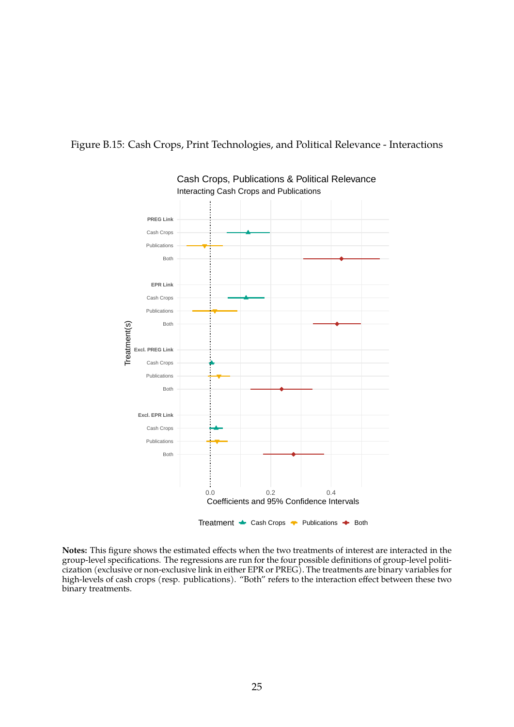#### <span id="page-24-0"></span>Figure B.15: Cash Crops, Print Technologies, and Political Relevance - Interactions



Interacting Cash Crops and Publications Cash Crops, Publications & Political Relevance

**Notes:** This figure shows the estimated effects when the two treatments of interest are interacted in the group-level specifications. The regressions are run for the four possible definitions of group-level politicization (exclusive or non-exclusive link in either EPR or PREG). The treatments are binary variables for high-levels of cash crops (resp. publications). "Both" refers to the interaction effect between these two binary treatments.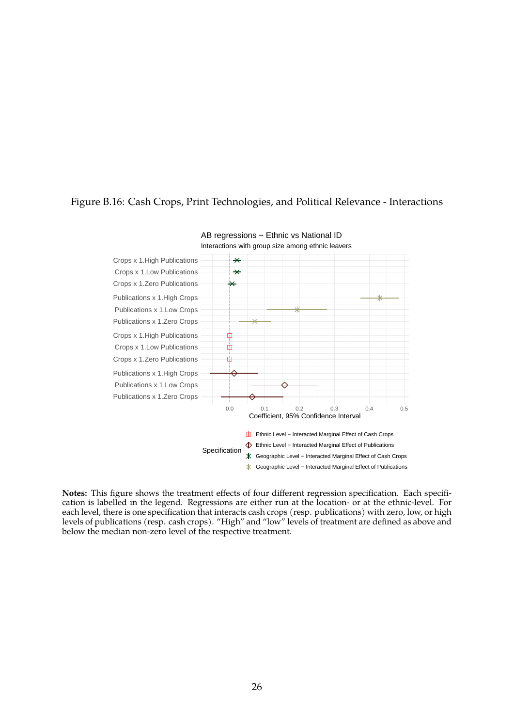#### <span id="page-25-0"></span>Figure B.16: Cash Crops, Print Technologies, and Political Relevance - Interactions



AB regressions – Ethnic vs National ID

**Notes:** This figure shows the treatment effects of four different regression specification. Each specification is labelled in the legend. Regressions are either run at the location- or at the ethnic-level. For each level, there is one specification that interacts cash crops (resp. publications) with zero, low, or high levels of publications (resp. cash crops). "High" and "low" levels of treatment are defined as above and below the median non-zero level of the respective treatment.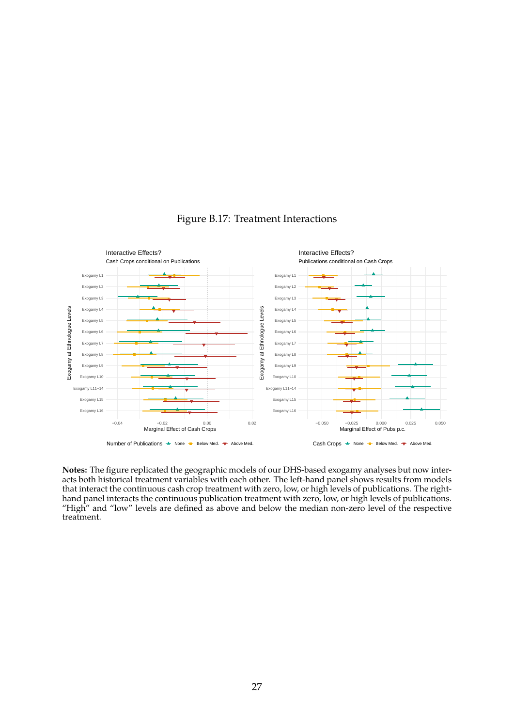<span id="page-26-0"></span>

### Figure B.17: Treatment Interactions

**Notes:** The figure replicated the geographic models of our DHS-based exogamy analyses but now interacts both historical treatment variables with each other. The left-hand panel shows results from models that interact the continuous cash crop treatment with zero, low, or high levels of publications. The righthand panel interacts the continuous publication treatment with zero, low, or high levels of publications. "High" and "low" levels are defined as above and below the median non-zero level of the respective treatment.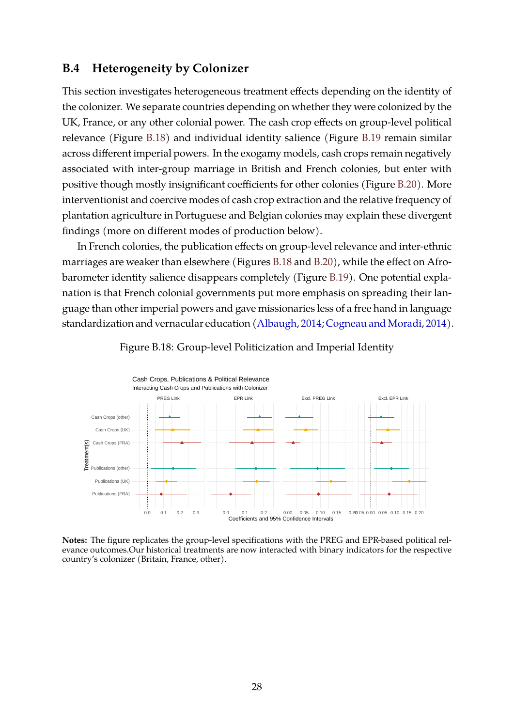### <span id="page-27-0"></span>**B.4 Heterogeneity by Colonizer**

This section investigates heterogeneous treatment effects depending on the identity of the colonizer. We separate countries depending on whether they were colonized by the UK, France, or any other colonial power. The cash crop effects on group-level political relevance (Figure [B.18\)](#page-27-1) and individual identity salience (Figure [B.19](#page-28-0) remain similar across different imperial powers. In the exogamy models, cash crops remain negatively associated with inter-group marriage in British and French colonies, but enter with positive though mostly insignificant coefficients for other colonies (Figure [B.20\)](#page-28-1). More interventionist and coercive modes of cash crop extraction and the relative frequency of plantation agriculture in Portuguese and Belgian colonies may explain these divergent findings (more on different modes of production below).

In French colonies, the publication effects on group-level relevance and inter-ethnic marriages are weaker than elsewhere (Figures [B.18](#page-27-1) and [B.20\)](#page-28-1), while the effect on Afrobarometer identity salience disappears completely (Figure [B.19\)](#page-28-0). One potential explanation is that French colonial governments put more emphasis on spreading their language than other imperial powers and gave missionaries less of a free hand in language standardization and vernacular education [\(Albaugh,](#page-29-11) [2014;](#page-29-11) [Cogneau and Moradi,](#page-29-12) [2014\)](#page-29-12).

<span id="page-27-1"></span>

Figure B.18: Group-level Politicization and Imperial Identity

**Notes:** The figure replicates the group-level specifications with the PREG and EPR-based political relevance outcomes.Our historical treatments are now interacted with binary indicators for the respective country's colonizer (Britain, France, other).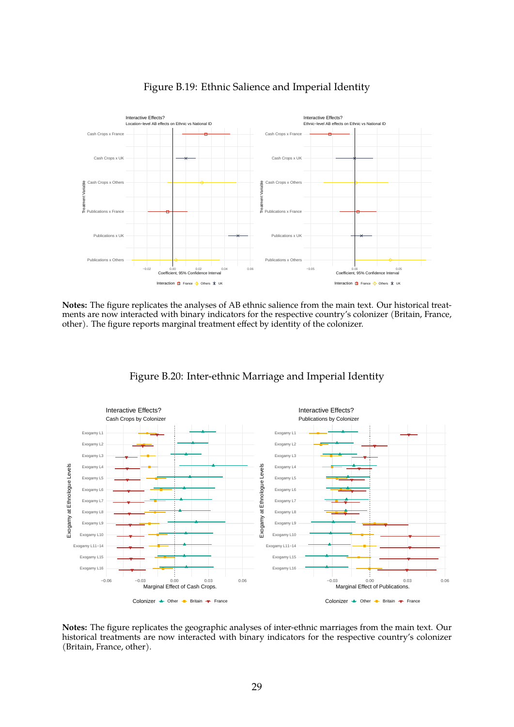<span id="page-28-0"></span>

Figure B.19: Ethnic Salience and Imperial Identity

**Notes:** The figure replicates the analyses of AB ethnic salience from the main text. Our historical treatments are now interacted with binary indicators for the respective country's colonizer (Britain, France, other). The figure reports marginal treatment effect by identity of the colonizer.

<span id="page-28-1"></span>

Figure B.20: Inter-ethnic Marriage and Imperial Identity

**Notes:** The figure replicates the geographic analyses of inter-ethnic marriages from the main text. Our historical treatments are now interacted with binary indicators for the respective country's colonizer (Britain, France, other).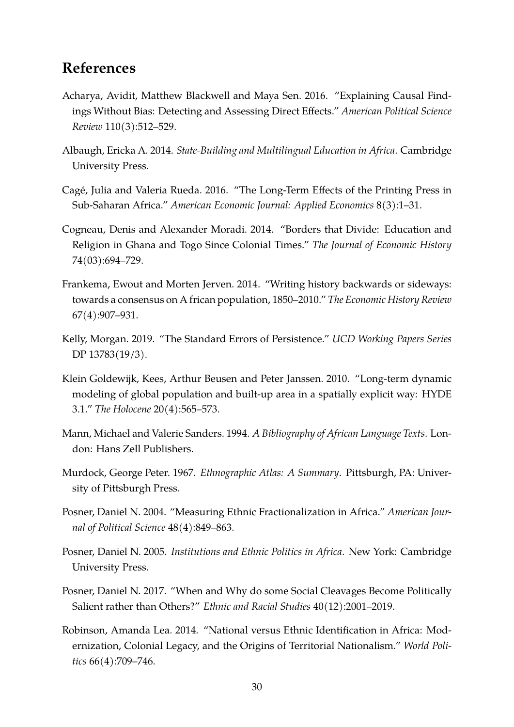### **References**

- <span id="page-29-9"></span>Acharya, Avidit, Matthew Blackwell and Maya Sen. 2016. "Explaining Causal Findings Without Bias: Detecting and Assessing Direct Effects." *American Political Science Review* 110(3):512–529.
- <span id="page-29-11"></span>Albaugh, Ericka A. 2014. *State-Building and Multilingual Education in Africa*. Cambridge University Press.
- <span id="page-29-10"></span>Cage, Julia and Valeria Rueda. 2016. "The Long-Term Effects of the Printing Press in ´ Sub-Saharan Africa." *American Economic Journal: Applied Economics* 8(3):1–31.
- <span id="page-29-12"></span>Cogneau, Denis and Alexander Moradi. 2014. "Borders that Divide: Education and Religion in Ghana and Togo Since Colonial Times." *The Journal of Economic History* 74(03):694–729.
- <span id="page-29-7"></span>Frankema, Ewout and Morten Jerven. 2014. "Writing history backwards or sideways: towards a consensus on A frican population, 1850–2010." *The Economic History Review* 67(4):907–931.
- <span id="page-29-2"></span>Kelly, Morgan. 2019. "The Standard Errors of Persistence." *UCD Working Papers Series* DP 13783(19/3).
- <span id="page-29-6"></span>Klein Goldewijk, Kees, Arthur Beusen and Peter Janssen. 2010. "Long-term dynamic modeling of global population and built-up area in a spatially explicit way: HYDE 3.1." *The Holocene* 20(4):565–573.
- <span id="page-29-1"></span>Mann, Michael and Valerie Sanders. 1994. *A Bibliography of African Language Texts*. London: Hans Zell Publishers.
- <span id="page-29-8"></span>Murdock, George Peter. 1967. *Ethnographic Atlas: A Summary*. Pittsburgh, PA: University of Pittsburgh Press.
- <span id="page-29-3"></span>Posner, Daniel N. 2004. "Measuring Ethnic Fractionalization in Africa." *American Journal of Political Science* 48(4):849–863.
- <span id="page-29-4"></span>Posner, Daniel N. 2005. *Institutions and Ethnic Politics in Africa*. New York: Cambridge University Press.
- <span id="page-29-5"></span>Posner, Daniel N. 2017. "When and Why do some Social Cleavages Become Politically Salient rather than Others?" *Ethnic and Racial Studies* 40(12):2001–2019.
- <span id="page-29-0"></span>Robinson, Amanda Lea. 2014. "National versus Ethnic Identification in Africa: Modernization, Colonial Legacy, and the Origins of Territorial Nationalism." *World Politics* 66(4):709–746.